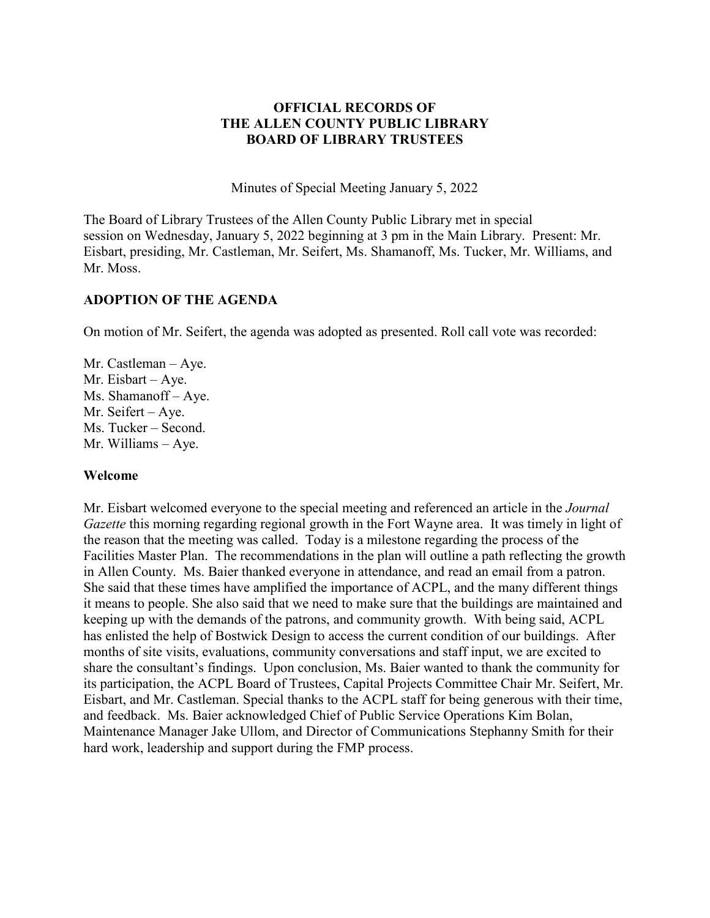### **OFFICIAL RECORDS OF THE ALLEN COUNTY PUBLIC LIBRARY BOARD OF LIBRARY TRUSTEES**

Minutes of Special Meeting January 5, 2022

The Board of Library Trustees of the Allen County Public Library met in special session on Wednesday, January 5, 2022 beginning at 3 pm in the Main Library. Present: Mr. Eisbart, presiding, Mr. Castleman, Mr. Seifert, Ms. Shamanoff, Ms. Tucker, Mr. Williams, and Mr. Moss.

## **ADOPTION OF THE AGENDA**

On motion of Mr. Seifert, the agenda was adopted as presented. Roll call vote was recorded:

Mr. Castleman – Aye. Mr. Eisbart – Aye. Ms. Shamanoff – Aye. Mr. Seifert – Aye. Ms. Tucker – Second. Mr. Williams – Aye.

#### **Welcome**

Mr. Eisbart welcomed everyone to the special meeting and referenced an article in the *Journal Gazette* this morning regarding regional growth in the Fort Wayne area. It was timely in light of the reason that the meeting was called. Today is a milestone regarding the process of the Facilities Master Plan. The recommendations in the plan will outline a path reflecting the growth in Allen County. Ms. Baier thanked everyone in attendance, and read an email from a patron. She said that these times have amplified the importance of ACPL, and the many different things it means to people. She also said that we need to make sure that the buildings are maintained and keeping up with the demands of the patrons, and community growth. With being said, ACPL has enlisted the help of Bostwick Design to access the current condition of our buildings. After months of site visits, evaluations, community conversations and staff input, we are excited to share the consultant's findings. Upon conclusion, Ms. Baier wanted to thank the community for its participation, the ACPL Board of Trustees, Capital Projects Committee Chair Mr. Seifert, Mr. Eisbart, and Mr. Castleman. Special thanks to the ACPL staff for being generous with their time, and feedback. Ms. Baier acknowledged Chief of Public Service Operations Kim Bolan, Maintenance Manager Jake Ullom, and Director of Communications Stephanny Smith for their hard work, leadership and support during the FMP process.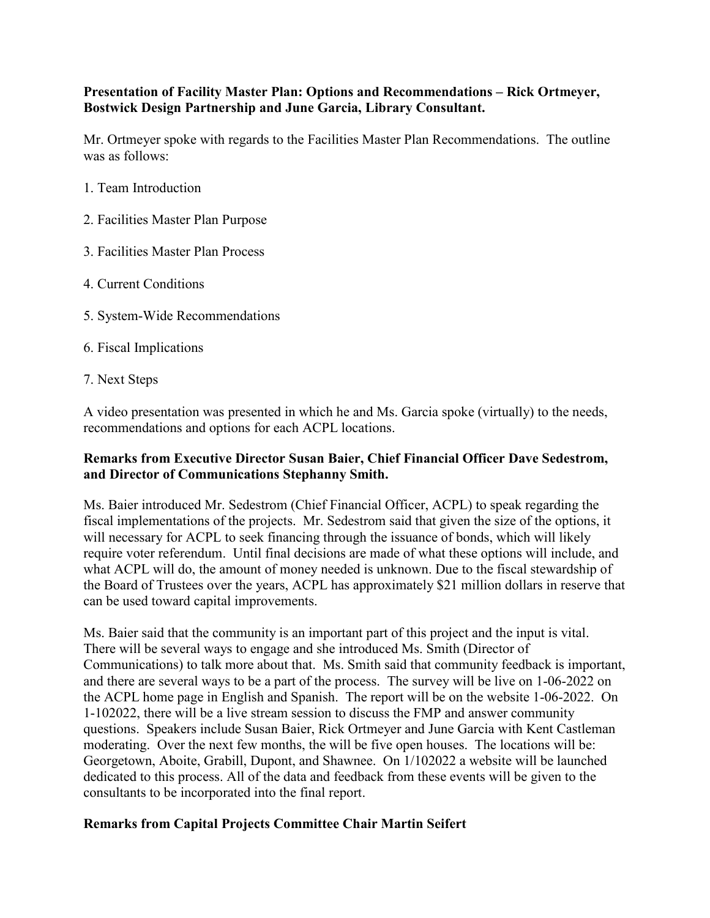# **Presentation of Facility Master Plan: Options and Recommendations – Rick Ortmeyer, Bostwick Design Partnership and June Garcia, Library Consultant.**

Mr. Ortmeyer spoke with regards to the Facilities Master Plan Recommendations. The outline was as follows:

- 1. Team Introduction
- 2. Facilities Master Plan Purpose
- 3. Facilities Master Plan Process
- 4. Current Conditions
- 5. System-Wide Recommendations
- 6. Fiscal Implications
- 7. Next Steps

A video presentation was presented in which he and Ms. Garcia spoke (virtually) to the needs, recommendations and options for each ACPL locations.

# **Remarks from Executive Director Susan Baier, Chief Financial Officer Dave Sedestrom, and Director of Communications Stephanny Smith.**

Ms. Baier introduced Mr. Sedestrom (Chief Financial Officer, ACPL) to speak regarding the fiscal implementations of the projects. Mr. Sedestrom said that given the size of the options, it will necessary for ACPL to seek financing through the issuance of bonds, which will likely require voter referendum. Until final decisions are made of what these options will include, and what ACPL will do, the amount of money needed is unknown. Due to the fiscal stewardship of the Board of Trustees over the years, ACPL has approximately \$21 million dollars in reserve that can be used toward capital improvements.

Ms. Baier said that the community is an important part of this project and the input is vital. There will be several ways to engage and she introduced Ms. Smith (Director of Communications) to talk more about that. Ms. Smith said that community feedback is important, and there are several ways to be a part of the process. The survey will be live on 1-06-2022 on the ACPL home page in English and Spanish. The report will be on the website 1-06-2022. On 1-102022, there will be a live stream session to discuss the FMP and answer community questions. Speakers include Susan Baier, Rick Ortmeyer and June Garcia with Kent Castleman moderating. Over the next few months, the will be five open houses. The locations will be: Georgetown, Aboite, Grabill, Dupont, and Shawnee. On 1/102022 a website will be launched dedicated to this process. All of the data and feedback from these events will be given to the consultants to be incorporated into the final report.

#### **Remarks from Capital Projects Committee Chair Martin Seifert**